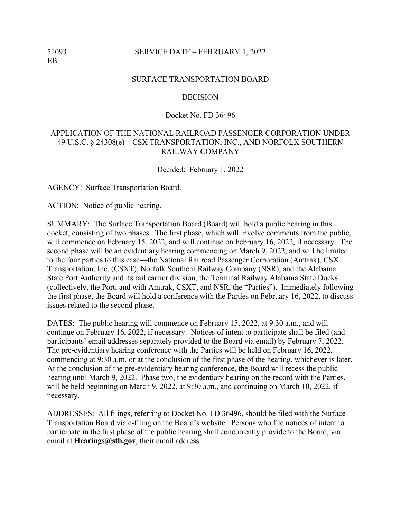## 51093 SERVICE DATE – FEBRUARY 1, 2022

#### SURFACE TRANSPORTATION BOARD

#### DECISION

## Docket No. FD 36496

# APPLICATION OF THE NATIONAL RAILROAD PASSENGER CORPORATION UNDER 49 U.S.C. § 24308(e)—CSX TRANSPORTATION, INC., AND NORFOLK SOUTHERN RAILWAY COMPANY

Decided: February 1, 2022

AGENCY: Surface Transportation Board.

ACTION: Notice of public hearing.

SUMMARY: The Surface Transportation Board (Board) will hold a public hearing in this docket, consisting of two phases. The first phase, which will involve comments from the public, will commence on February 15, 2022, and will continue on February 16, 2022, if necessary. The second phase will be an evidentiary hearing commencing on March 9, 2022, and will be limited to the four parties to this case––the National Railroad Passenger Corporation (Amtrak), CSX Transportation, Inc. (CSXT), Norfolk Southern Railway Company (NSR), and the Alabama State Port Authority and its rail carrier division, the Terminal Railway Alabama State Docks (collectively, the Port; and with Amtrak, CSXT, and NSR, the "Parties"). Immediately following the first phase, the Board will hold a conference with the Parties on February 16, 2022, to discuss issues related to the second phase.

DATES: The public hearing will commence on February 15, 2022, at 9:30 a.m., and will continue on February 16, 2022, if necessary. Notices of intent to participate shall be filed (and participants' email addresses separately provided to the Board via email) by February 7, 2022. The pre-evidentiary hearing conference with the Parties will be held on February 16, 2022, commencing at 9:30 a.m. or at the conclusion of the first phase of the hearing, whichever is later. At the conclusion of the pre-evidentiary hearing conference, the Board will recess the public hearing until March 9, 2022. Phase two, the evidentiary hearing on the record with the Parties, will be held beginning on March 9, 2022, at 9:30 a.m., and continuing on March 10, 2022, if necessary.

ADDRESSES: All filings, referring to Docket No. FD 36496, should be filed with the Surface Transportation Board via e-filing on the Board's website. Persons who file notices of intent to participate in the first phase of the public hearing shall concurrently provide to the Board, via email at **Hearings@stb.gov**, their email address.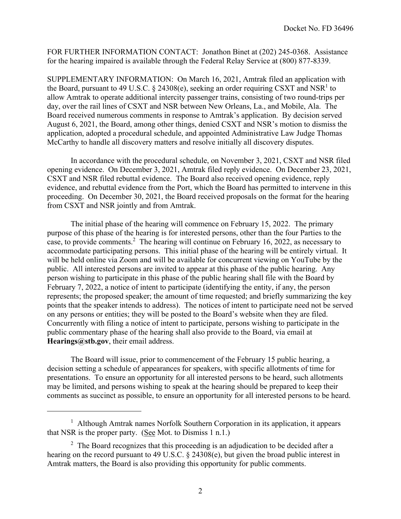FOR FURTHER INFORMATION CONTACT: Jonathon Binet at (202) 245-0368. Assistance for the hearing impaired is available through the Federal Relay Service at (800) 877-8339.

SUPPLEMENTARY INFORMATION: On March 16, 2021, Amtrak filed an application with the Board, pursuant to 49 U.S.C.  $\S$  24308(e), seeking an order requiring CSXT and NSR<sup>1</sup> to allow Amtrak to operate additional intercity passenger trains, consisting of two round-trips per day, over the rail lines of CSXT and NSR between New Orleans, La., and Mobile, Ala. The Board received numerous comments in response to Amtrak's application. By decision served August 6, 2021, the Board, among other things, denied CSXT and NSR's motion to dismiss the application, adopted a procedural schedule, and appointed Administrative Law Judge Thomas McCarthy to handle all discovery matters and resolve initially all discovery disputes.

 In accordance with the procedural schedule, on November 3, 2021, CSXT and NSR filed opening evidence. On December 3, 2021, Amtrak filed reply evidence. On December 23, 2021, CSXT and NSR filed rebuttal evidence. The Board also received opening evidence, reply evidence, and rebuttal evidence from the Port, which the Board has permitted to intervene in this proceeding. On December 30, 2021, the Board received proposals on the format for the hearing from CSXT and NSR jointly and from Amtrak.

The initial phase of the hearing will commence on February 15, 2022. The primary purpose of this phase of the hearing is for interested persons, other than the four Parties to the case, to provide comments.<sup>2</sup> The hearing will continue on February 16, 2022, as necessary to accommodate participating persons. This initial phase of the hearing will be entirely virtual. It will be held online via Zoom and will be available for concurrent viewing on YouTube by the public. All interested persons are invited to appear at this phase of the public hearing. Any person wishing to participate in this phase of the public hearing shall file with the Board by February 7, 2022, a notice of intent to participate (identifying the entity, if any, the person represents; the proposed speaker; the amount of time requested; and briefly summarizing the key points that the speaker intends to address). The notices of intent to participate need not be served on any persons or entities; they will be posted to the Board's website when they are filed. Concurrently with filing a notice of intent to participate, persons wishing to participate in the public commentary phase of the hearing shall also provide to the Board, via email at **Hearings@stb.gov**, their email address.

The Board will issue, prior to commencement of the February 15 public hearing, a decision setting a schedule of appearances for speakers, with specific allotments of time for presentations. To ensure an opportunity for all interested persons to be heard, such allotments may be limited, and persons wishing to speak at the hearing should be prepared to keep their comments as succinct as possible, to ensure an opportunity for all interested persons to be heard.

<sup>&</sup>lt;sup>1</sup> Although Amtrak names Norfolk Southern Corporation in its application, it appears that NSR is the proper party. (See Mot. to Dismiss 1 n.1.)

 $2$  The Board recognizes that this proceeding is an adjudication to be decided after a hearing on the record pursuant to 49 U.S.C. § 24308(e), but given the broad public interest in Amtrak matters, the Board is also providing this opportunity for public comments.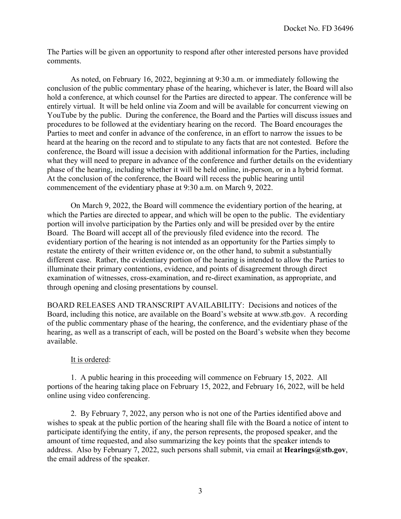The Parties will be given an opportunity to respond after other interested persons have provided comments.

As noted, on February 16, 2022, beginning at 9:30 a.m. or immediately following the conclusion of the public commentary phase of the hearing, whichever is later, the Board will also hold a conference, at which counsel for the Parties are directed to appear. The conference will be entirely virtual. It will be held online via Zoom and will be available for concurrent viewing on YouTube by the public. During the conference, the Board and the Parties will discuss issues and procedures to be followed at the evidentiary hearing on the record. The Board encourages the Parties to meet and confer in advance of the conference, in an effort to narrow the issues to be heard at the hearing on the record and to stipulate to any facts that are not contested. Before the conference, the Board will issue a decision with additional information for the Parties, including what they will need to prepare in advance of the conference and further details on the evidentiary phase of the hearing, including whether it will be held online, in-person, or in a hybrid format. At the conclusion of the conference, the Board will recess the public hearing until commencement of the evidentiary phase at 9:30 a.m. on March 9, 2022.

On March 9, 2022, the Board will commence the evidentiary portion of the hearing, at which the Parties are directed to appear, and which will be open to the public. The evidentiary portion will involve participation by the Parties only and will be presided over by the entire Board. The Board will accept all of the previously filed evidence into the record. The evidentiary portion of the hearing is not intended as an opportunity for the Parties simply to restate the entirety of their written evidence or, on the other hand, to submit a substantially different case. Rather, the evidentiary portion of the hearing is intended to allow the Parties to illuminate their primary contentions, evidence, and points of disagreement through direct examination of witnesses, cross-examination, and re-direct examination, as appropriate, and through opening and closing presentations by counsel.

BOARD RELEASES AND TRANSCRIPT AVAILABILITY: Decisions and notices of the Board, including this notice, are available on the Board's website at www.stb.gov. A recording of the public commentary phase of the hearing, the conference, and the evidentiary phase of the hearing, as well as a transcript of each, will be posted on the Board's website when they become available.

# It is ordered:

1. A public hearing in this proceeding will commence on February 15, 2022. All portions of the hearing taking place on February 15, 2022, and February 16, 2022, will be held online using video conferencing.

2. By February 7, 2022, any person who is not one of the Parties identified above and wishes to speak at the public portion of the hearing shall file with the Board a notice of intent to participate identifying the entity, if any, the person represents, the proposed speaker, and the amount of time requested, and also summarizing the key points that the speaker intends to address. Also by February 7, 2022, such persons shall submit, via email at **Hearings@stb.gov**, the email address of the speaker.